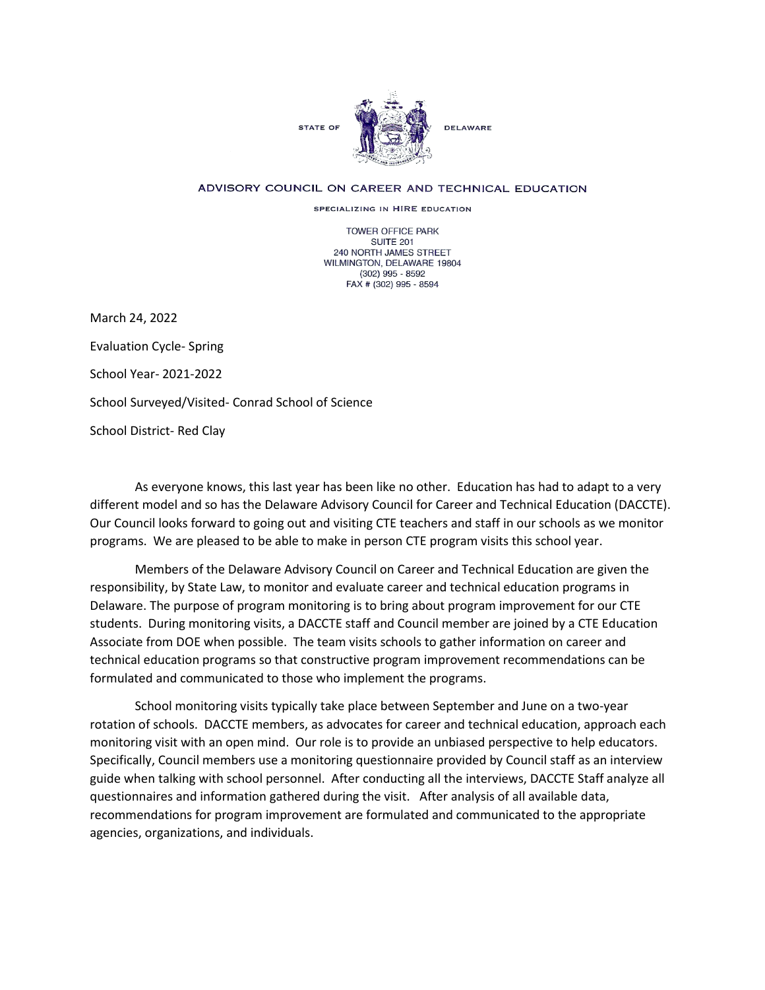

## ADVISORY COUNCIL ON CAREER AND TECHNICAL EDUCATION

SPECIALIZING IN HIRE EDUCATION

TOWER OFFICE PARK SUITE 201 240 NORTH JAMES STREET WILMINGTON, DELAWARE 19804 (302) 995 - 8592 FAX # (302) 995 - 8594

March 24, 2022 Evaluation Cycle- Spring School Year- 2021-2022 School Surveyed/Visited- Conrad School of Science School District- Red Clay

As everyone knows, this last year has been like no other. Education has had to adapt to a very different model and so has the Delaware Advisory Council for Career and Technical Education (DACCTE). Our Council looks forward to going out and visiting CTE teachers and staff in our schools as we monitor programs. We are pleased to be able to make in person CTE program visits this school year.

Members of the Delaware Advisory Council on Career and Technical Education are given the responsibility, by State Law, to monitor and evaluate career and technical education programs in Delaware. The purpose of program monitoring is to bring about program improvement for our CTE students. During monitoring visits, a DACCTE staff and Council member are joined by a CTE Education Associate from DOE when possible. The team visits schools to gather information on career and technical education programs so that constructive program improvement recommendations can be formulated and communicated to those who implement the programs.

School monitoring visits typically take place between September and June on a two-year rotation of schools. DACCTE members, as advocates for career and technical education, approach each monitoring visit with an open mind. Our role is to provide an unbiased perspective to help educators. Specifically, Council members use a monitoring questionnaire provided by Council staff as an interview guide when talking with school personnel. After conducting all the interviews, DACCTE Staff analyze all questionnaires and information gathered during the visit. After analysis of all available data, recommendations for program improvement are formulated and communicated to the appropriate agencies, organizations, and individuals.